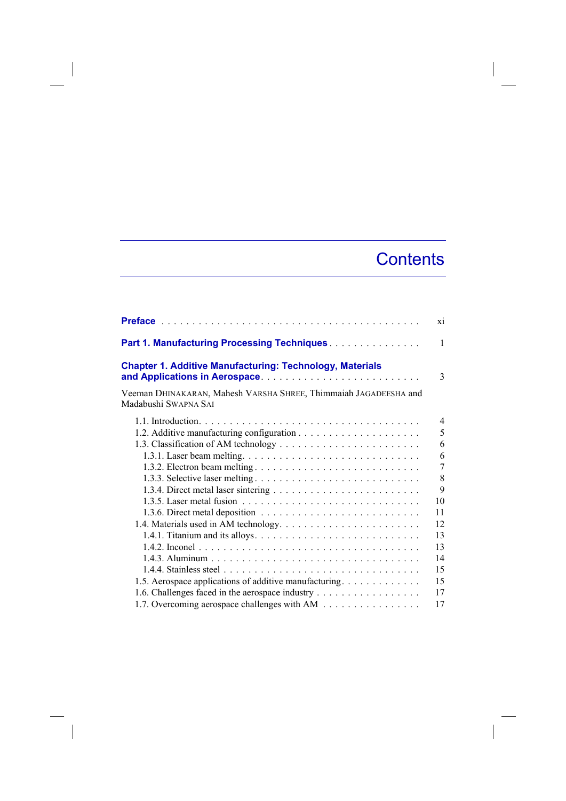## **Contents**

 $\overline{\phantom{a}}$ 

|                                                                                          | X1           |
|------------------------------------------------------------------------------------------|--------------|
| Part 1. Manufacturing Processing Techniques.                                             | $\mathbf{1}$ |
| <b>Chapter 1. Additive Manufacturing: Technology, Materials</b>                          | 3            |
| Veeman DHINAKARAN, Mahesh VARSHA SHREE, Thimmaiah JAGADEESHA and<br>Madabushi SWAPNA SAI |              |
|                                                                                          | 4            |
|                                                                                          | 5            |
|                                                                                          | 6            |
|                                                                                          | 6            |
|                                                                                          | 7            |
|                                                                                          | 8            |
|                                                                                          | 9            |
|                                                                                          | 10           |
|                                                                                          | 11           |
|                                                                                          | 12           |
|                                                                                          | 13           |
|                                                                                          | 13           |
|                                                                                          | 14           |
|                                                                                          | 15           |
| 1.5. Aerospace applications of additive manufacturing.                                   | 15           |
| 1.6. Challenges faced in the aerospace industry                                          | 17           |
| 1.7. Overcoming aerospace challenges with AM                                             | 17           |

 $\begin{array}{c} \hline \end{array}$ 

 $\overline{\phantom{a}}$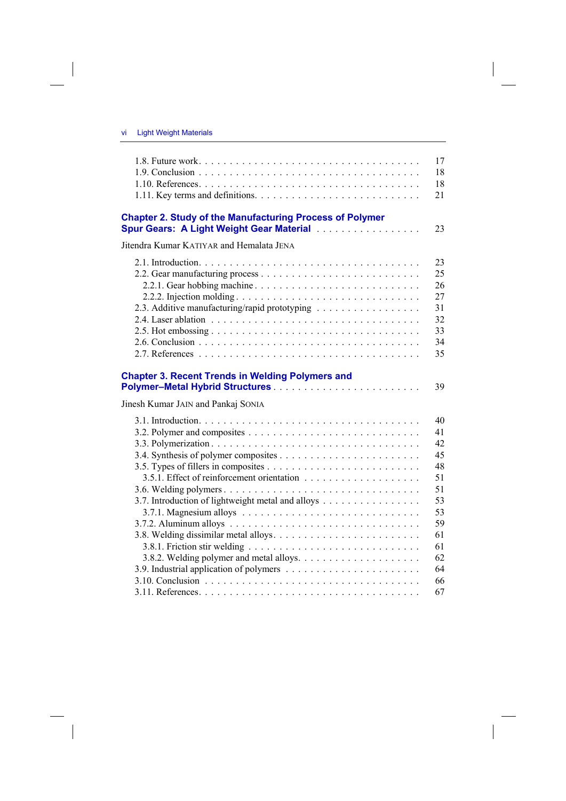$\overline{\phantom{a}}$ 

 $\begin{array}{c} \hline \end{array}$ 

|                                                                                                             | 17 |
|-------------------------------------------------------------------------------------------------------------|----|
|                                                                                                             | 18 |
|                                                                                                             | 18 |
|                                                                                                             | 21 |
| <b>Chapter 2. Study of the Manufacturing Process of Polymer</b><br>Spur Gears: A Light Weight Gear Material | 23 |
| Jitendra Kumar KATIYAR and Hemalata JENA                                                                    |    |
|                                                                                                             | 23 |
|                                                                                                             | 25 |
|                                                                                                             | 26 |
|                                                                                                             | 27 |
| 2.3. Additive manufacturing/rapid prototyping                                                               | 31 |
|                                                                                                             | 32 |
|                                                                                                             | 33 |
|                                                                                                             | 34 |
|                                                                                                             | 35 |
|                                                                                                             |    |
| <b>Chapter 3. Recent Trends in Welding Polymers and</b>                                                     | 39 |
| Jinesh Kumar JAIN and Pankaj SONIA                                                                          |    |
|                                                                                                             | 40 |
|                                                                                                             | 41 |
|                                                                                                             | 42 |
|                                                                                                             | 45 |
|                                                                                                             | 48 |
|                                                                                                             | 51 |
|                                                                                                             | 51 |
| 3.7. Introduction of lightweight metal and alloys                                                           | 53 |
|                                                                                                             | 53 |
|                                                                                                             | 59 |
|                                                                                                             | 61 |
|                                                                                                             | 61 |
|                                                                                                             | 62 |
|                                                                                                             | 64 |
|                                                                                                             | 66 |
|                                                                                                             | 67 |

 $\overline{\phantom{a}}$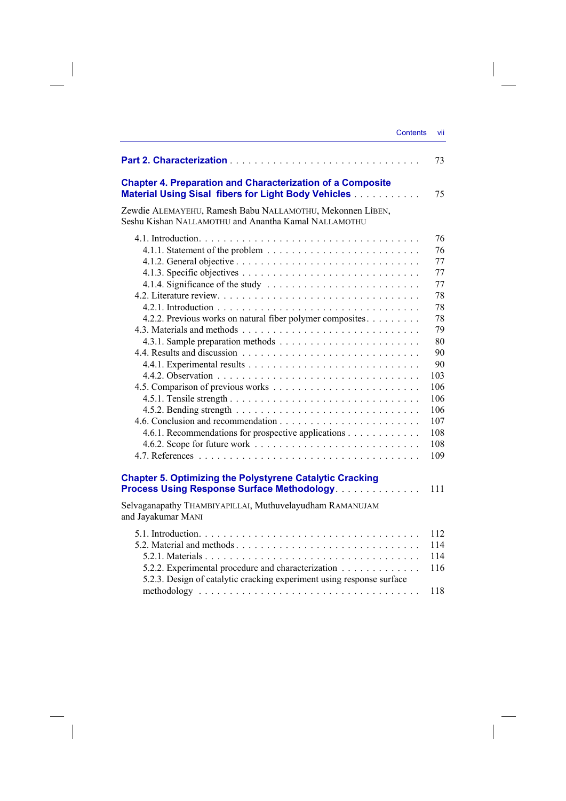|                                                                                                                             | <b>Contents</b> |  |
|-----------------------------------------------------------------------------------------------------------------------------|-----------------|--|
|                                                                                                                             |                 |  |
| <b>Chapter 4. Preparation and Characterization of a Composite</b><br>Material Using Sisal fibers for Light Body Vehicles    |                 |  |
| Zewdie ALEMAYEHU, Ramesh Babu NALLAMOTHU, Mekonnen LIBEN,<br>Seshu Kishan NALLAMOTHU and Anantha Kamal NALLAMOTHU           |                 |  |
|                                                                                                                             |                 |  |
|                                                                                                                             |                 |  |
|                                                                                                                             |                 |  |
|                                                                                                                             |                 |  |
|                                                                                                                             |                 |  |
|                                                                                                                             |                 |  |
| 4.2.2. Previous works on natural fiber polymer composites.                                                                  |                 |  |
|                                                                                                                             |                 |  |
|                                                                                                                             |                 |  |
|                                                                                                                             |                 |  |
|                                                                                                                             |                 |  |
|                                                                                                                             |                 |  |
|                                                                                                                             |                 |  |
|                                                                                                                             |                 |  |
|                                                                                                                             |                 |  |
|                                                                                                                             |                 |  |
| 4.6.1. Recommendations for prospective applications                                                                         |                 |  |
|                                                                                                                             |                 |  |
|                                                                                                                             |                 |  |
| <b>Chapter 5. Optimizing the Polystyrene Catalytic Cracking</b>                                                             |                 |  |
| Process Using Response Surface Methodology.                                                                                 |                 |  |
| Selvaganapathy THAMBIYAPILLAI, Muthuvelayudham RAMANUJAM<br>and Jayakumar MANI                                              |                 |  |
|                                                                                                                             |                 |  |
|                                                                                                                             |                 |  |
|                                                                                                                             |                 |  |
| 5.2.2. Experimental procedure and characterization<br>5.2.3. Design of catalytic cracking experiment using response surface |                 |  |
|                                                                                                                             |                 |  |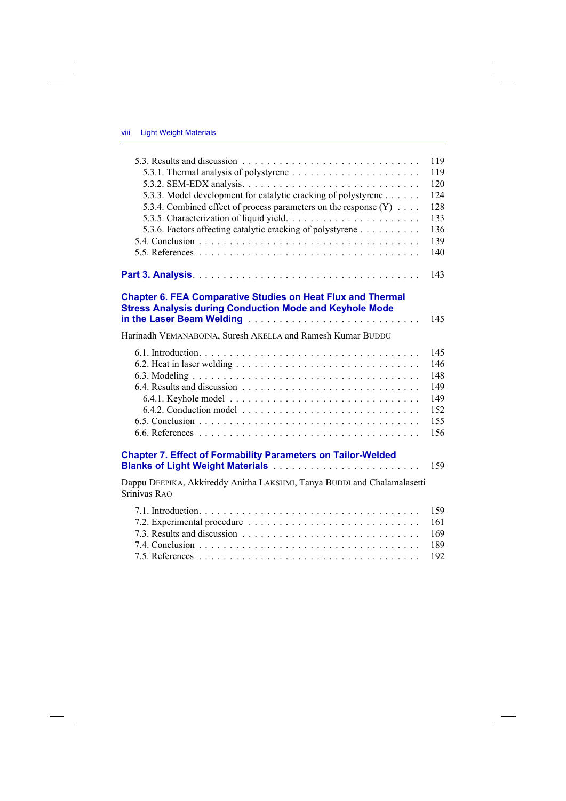$\overline{\phantom{a}}$ 

 $\begin{array}{c} \hline \end{array}$ 

|                                                                                                                                                                                             | 119 |
|---------------------------------------------------------------------------------------------------------------------------------------------------------------------------------------------|-----|
|                                                                                                                                                                                             | 119 |
|                                                                                                                                                                                             | 120 |
| 5.3.3. Model development for catalytic cracking of polystyrene                                                                                                                              | 124 |
| 5.3.4. Combined effect of process parameters on the response (Y)                                                                                                                            | 128 |
|                                                                                                                                                                                             | 133 |
| 5.3.6. Factors affecting catalytic cracking of polystyrene                                                                                                                                  | 136 |
|                                                                                                                                                                                             | 139 |
|                                                                                                                                                                                             | 140 |
| <b>Chapter 6. FEA Comparative Studies on Heat Flux and Thermal</b>                                                                                                                          | 143 |
| <b>Stress Analysis during Conduction Mode and Keyhole Mode</b><br>in the Laser Beam Welding <b>Fig. 1. Action 2018</b> in the Laser Beam Welding <b>Fig. 1. Action 2019</b>                 | 145 |
| Harinadh VEMANABOINA, Suresh AKELLA and Ramesh Kumar BUDDU                                                                                                                                  |     |
|                                                                                                                                                                                             | 145 |
|                                                                                                                                                                                             | 146 |
|                                                                                                                                                                                             | 148 |
|                                                                                                                                                                                             | 149 |
|                                                                                                                                                                                             | 149 |
|                                                                                                                                                                                             | 152 |
|                                                                                                                                                                                             | 155 |
|                                                                                                                                                                                             | 156 |
| <b>Chapter 7. Effect of Formability Parameters on Tailor-Welded</b><br><b>Blanks of Light Weight Materials Materials Action Construct Construct Construct Construct Construct Construct</b> | 159 |
| Dappu DEEPIKA, Akkireddy Anitha LAKSHMI, Tanya BUDDI and Chalamalasetti<br>Srinivas RAO                                                                                                     |     |
|                                                                                                                                                                                             | 159 |
|                                                                                                                                                                                             | 161 |
|                                                                                                                                                                                             | 169 |
|                                                                                                                                                                                             | 189 |

 $\overline{\phantom{a}}$ 

7.5. References . . . . . . . . . . . . . . . . . . . . . . . . . . . . . . . . . . . . 192